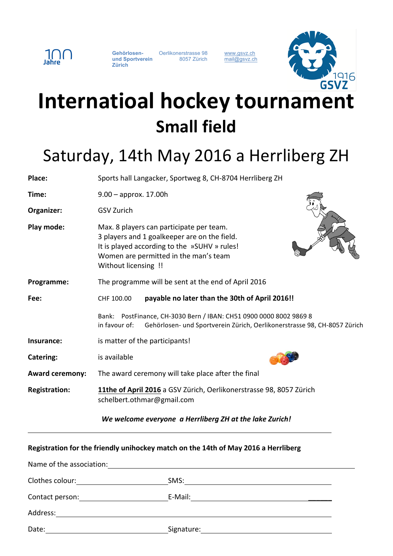

**Gehörlosen-** Oerlikonerstrasse 98 www.gsvz.ch und Sportverein and 8057 Zürich mail@gsvz.ch **Zürich**



## **Internatioal hockey tournament Small field**

## Saturday, 14th May 2016 a Herrliberg ZH

| Place:                 | Sports hall Langacker, Sportweg 8, CH-8704 Herrliberg ZH                                                                                                                                                  |
|------------------------|-----------------------------------------------------------------------------------------------------------------------------------------------------------------------------------------------------------|
| Time:                  | $9.00 -$ approx. 17.00h                                                                                                                                                                                   |
| Organizer:             | <b>GSV Zurich</b>                                                                                                                                                                                         |
| Play mode:             | Max. 8 players can participate per team.<br>3 players and 1 goalkeeper are on the field.<br>It is played according to the »SUHV » rules!<br>Women are permitted in the man's team<br>Without licensing !! |
| Programme:             | The programme will be sent at the end of April 2016                                                                                                                                                       |
| Fee:                   | payable no later than the 30th of April 2016!!<br>CHF 100.00                                                                                                                                              |
|                        | PostFinance, CH-3030 Bern / IBAN: CH51 0900 0000 8002 9869 8<br>Bank:<br>in favour of:<br>Gehörlosen- und Sportverein Zürich, Oerlikonerstrasse 98, CH-8057 Zürich                                        |
| Insurance:             | is matter of the participants!                                                                                                                                                                            |
| Catering:              | is available                                                                                                                                                                                              |
| <b>Award ceremony:</b> | The award ceremony will take place after the final                                                                                                                                                        |
| <b>Registration:</b>   | 11the of April 2016 a GSV Zürich, Oerlikonerstrasse 98, 8057 Zürich<br>schelbert.othmar@gmail.com                                                                                                         |

*We welcome everyone a Herrliberg ZH at the lake Zurich!* 

**Registration for the friendly unihockey match on the 14th of May 2016 a Herrliberg** Name of the association: Clothes colour: SMS: Contact person: E-Mail: Address: Date: Signature: